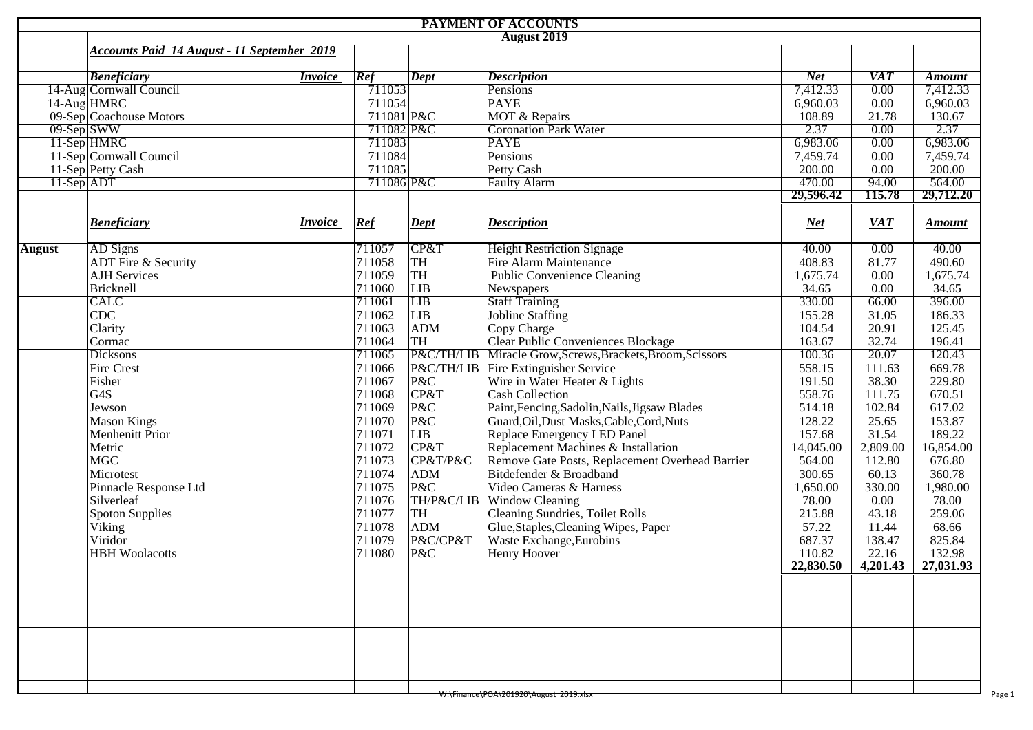| <b>PAYMENT OF ACCOUNTS</b> |                                                    |                |            |           |                                                            |                     |                 |                     |  |  |  |  |
|----------------------------|----------------------------------------------------|----------------|------------|-----------|------------------------------------------------------------|---------------------|-----------------|---------------------|--|--|--|--|
|                            |                                                    |                |            |           | <b>August 2019</b>                                         |                     |                 |                     |  |  |  |  |
|                            | <b>Accounts Paid 14 August - 11 September 2019</b> |                |            |           |                                                            |                     |                 |                     |  |  |  |  |
|                            |                                                    |                |            |           |                                                            |                     |                 |                     |  |  |  |  |
|                            | <b>Beneficiary</b>                                 | <i>Invoice</i> | Ref        | Dept      | <b>Description</b>                                         | <b>Net</b>          | <b>VAT</b>      | <b>Amount</b>       |  |  |  |  |
|                            | 14-Aug Cornwall Council                            |                | 711053     |           | Pensions                                                   | 7,412.33            | 0.00            | 7,412.33            |  |  |  |  |
|                            | 14-Aug HMRC                                        |                | 711054     |           | <b>PAYE</b>                                                | 6,960.03            | 0.00            | 6,960.03            |  |  |  |  |
|                            | 09-Sep Coachouse Motors                            |                | 711081 P&C |           | <b>MOT &amp; Repairs</b>                                   | 108.89              | 21.78           | 130.67              |  |  |  |  |
|                            | $09-Sep$ SWW                                       |                | 711082 P&C |           | <b>Coronation Park Water</b>                               | 2.37                | 0.00            | 2.37                |  |  |  |  |
|                            | 11-Sep HMRC                                        |                | 711083     |           | <b>PAYE</b>                                                | 6,983.06            | 0.00            | 6,983.06            |  |  |  |  |
|                            | 11-Sep Cornwall Council                            |                | 711084     |           | Pensions                                                   | 7,459.74            | 0.00            | 7,459.74            |  |  |  |  |
|                            | 11-Sep Petty Cash                                  |                | 711085     |           | <b>Petty Cash</b>                                          | 200.00              | 0.00            | 200.00              |  |  |  |  |
|                            |                                                    |                | 711086 P&C |           | <b>Faulty Alarm</b>                                        | 470.00<br>29,596.42 | 94.00<br>115.78 | 564.00<br>29,712.20 |  |  |  |  |
|                            |                                                    |                |            |           |                                                            |                     |                 |                     |  |  |  |  |
|                            | <b>Beneficiary</b>                                 | <i>Invoice</i> | Ref        | Dept      | <b>Description</b>                                         | <b>Net</b>          | <b>VAT</b>      | <b>Amount</b>       |  |  |  |  |
|                            |                                                    |                |            |           |                                                            |                     |                 |                     |  |  |  |  |
| <b>August</b>              | AD Signs                                           |                | 711057     | CP&T      | <b>Height Restriction Signage</b>                          | 40.00               | 0.00            | 40.00               |  |  |  |  |
|                            | <b>ADT</b> Fire & Security                         |                | 711058     | TH        | <b>Fire Alarm Maintenance</b>                              | 408.83              | 81.77           | 490.60              |  |  |  |  |
|                            | <b>AJH</b> Services                                |                | 711059     | TH        | <b>Public Convenience Cleaning</b>                         | 1,675.74            | 0.00            | 1,675.74            |  |  |  |  |
|                            | Bricknell                                          |                | 711060     | LIB       | Newspapers                                                 | 34.65               | 0.00            | 34.65               |  |  |  |  |
|                            | <b>CALC</b>                                        |                | 711061     | LIB       | <b>Staff Training</b>                                      | 330.00              | 66.00           | 396.00              |  |  |  |  |
|                            | $\overline{\text{CDC}}$                            |                | 711062     | LIB       | <b>Jobline Staffing</b>                                    | 155.28              | 31.05           | 186.33              |  |  |  |  |
|                            | Clarity                                            |                | 711063     | ADM       | Copy Charge                                                | 104.54              | 20.91           | 125.45              |  |  |  |  |
|                            | Cormac                                             |                | 711064     | <b>TH</b> | Clear Public Conveniences Blockage                         | 163.67              | 32.74           | 196.41              |  |  |  |  |
|                            | <b>Dicksons</b>                                    |                | 711065     |           | P&C/TH/LIB Miracle Grow, Screws, Brackets, Broom, Scissors | 100.36              | 20.07           | 120.43              |  |  |  |  |
|                            | <b>Fire Crest</b>                                  |                | 711066     |           | <b>P&amp;C/TH/LIB</b> Fire Extinguisher Service            | 558.15              | 111.63          | 669.78              |  |  |  |  |
|                            | Fisher                                             |                | 711067     | P&C       | Wire in Water Heater & Lights                              | 191.50              | 38.30           | 229.80              |  |  |  |  |
|                            | $\overline{G4S}$                                   |                | 711068     | CP&T      | <b>Cash Collection</b>                                     | 558.76              | 111.75          | 670.51              |  |  |  |  |
|                            | Jewson                                             |                | 711069     | P&C       | Paint, Fencing, Sadolin, Nails, Jigsaw Blades              | 514.18              | 102.84          | 617.02              |  |  |  |  |
|                            | <b>Mason Kings</b>                                 |                | 711070     | P&C       | Guard, Oil, Dust Masks, Cable, Cord, Nuts                  | 128.22              | 25.65           | 153.87              |  |  |  |  |
|                            | <b>Menhenitt Prior</b>                             |                | 711071     | LIB       | Replace Emergency LED Panel                                | 157.68              | 31.54           | 189.22              |  |  |  |  |
|                            | Metric                                             |                | 711072     | CP&T      | Replacement Machines & Installation                        | 14,045.00           | 2,809.00        | 16,854.00           |  |  |  |  |
|                            | <b>MGC</b>                                         |                | 711073     | CP&T/P&C  | Remove Gate Posts, Replacement Overhead Barrier            | 564.00              | 112.80          | 676.80              |  |  |  |  |
|                            | Microtest                                          |                | 711074     | ADM       | Bitdefender & Broadband                                    | 300.65              | 60.13           | 360.78              |  |  |  |  |
|                            | Pinnacle Response Ltd                              |                | 711075     | P&C       | Video Cameras & Harness                                    | 1,650.00            | 330.00          | 1,980.00            |  |  |  |  |
|                            | Silverleaf                                         |                | 711076     |           | TH/P&C/LIB Window Cleaning                                 | 78.00               | 0.00            | 78.00               |  |  |  |  |
|                            | <b>Spoton Supplies</b>                             |                | 711077     | <b>TH</b> | <b>Cleaning Sundries, Toilet Rolls</b>                     | 215.88              | 43.18           | 259.06              |  |  |  |  |
|                            | Viking                                             |                | 711078     | ADM       | Glue, Staples, Cleaning Wipes, Paper                       | 57.22               | 11.44           | 68.66               |  |  |  |  |
|                            | Viridor                                            |                | 711079     | P&C/CP&T  | Waste Exchange, Eurobins                                   | 687.37              | 138.47          | 825.84              |  |  |  |  |
|                            | <b>HBH</b> Woolacotts                              |                | 711080     | P&C       | <b>Henry Hoover</b>                                        | 110.82              | 22.16           | 132.98              |  |  |  |  |
|                            |                                                    |                |            |           |                                                            | 22,830.50           | 4,201.43        | 27,031.93           |  |  |  |  |
|                            |                                                    |                |            |           |                                                            |                     |                 |                     |  |  |  |  |
|                            |                                                    |                |            |           |                                                            |                     |                 |                     |  |  |  |  |
|                            |                                                    |                |            |           |                                                            |                     |                 |                     |  |  |  |  |
|                            |                                                    |                |            |           |                                                            |                     |                 |                     |  |  |  |  |
|                            |                                                    |                |            |           |                                                            |                     |                 |                     |  |  |  |  |
|                            |                                                    |                |            |           |                                                            |                     |                 |                     |  |  |  |  |
|                            |                                                    |                |            |           |                                                            |                     |                 |                     |  |  |  |  |
|                            |                                                    |                |            |           |                                                            |                     |                 |                     |  |  |  |  |